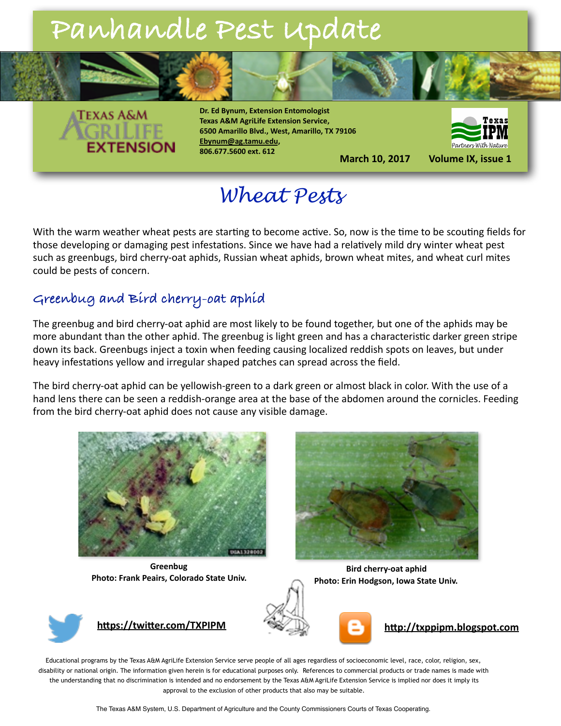

**Dr. Ed Bynum, Extension Entomologist Texas A&M AgriLife Extension Service, 6500 Amarillo Blvd., West, Amarillo, TX 79106 [Ebynum@ag.tamu.edu](mailto:Ebynum@ag.tamu.edu), 806.677.5600 ext. 612**



**March 10, 2017** Volume IX, issue 1

## *Wheat Pests*

With the warm weather wheat pests are starting to become active. So, now is the time to be scouting fields for those developing or damaging pest infestations. Since we have had a relatively mild dry winter wheat pest such as greenbugs, bird cherry-oat aphids, Russian wheat aphids, brown wheat mites, and wheat curl mites could be pests of concern.

#### **Greenbug and Bird cherry-oat aphid**

The greenbug and bird cherry-oat aphid are most likely to be found together, but one of the aphids may be more abundant than the other aphid. The greenbug is light green and has a characteristic darker green stripe down its back. Greenbugs inject a toxin when feeding causing localized reddish spots on leaves, but under heavy infestations yellow and irregular shaped patches can spread across the field.

The bird cherry-oat aphid can be yellowish-green to a dark green or almost black in color. With the use of a hand lens there can be seen a reddish-orange area at the base of the abdomen around the cornicles. Feeding from the bird cherry-oat aphid does not cause any visible damage.



**Greenbug Photo: Frank Peairs, Colorado State Univ.** 



**Bird cherry-oat aphid Photo: Erin Hodgson, Iowa State Univ.** 







Educational programs by the Texas A&M AgriLife Extension Service serve people of all ages regardless of socioeconomic level, race, color, religion, sex, disability or national origin. The information given herein is for educational purposes only. References to commercial products or trade names is made with the understanding that no discrimination is intended and no endorsement by the Texas A&M AgriLife Extension Service is implied nor does it imply its approval to the exclusion of other products that also may be suitable.

The Texas A&M System, U.S. Department of Agriculture and the County Commissioners Courts of Texas Cooperating.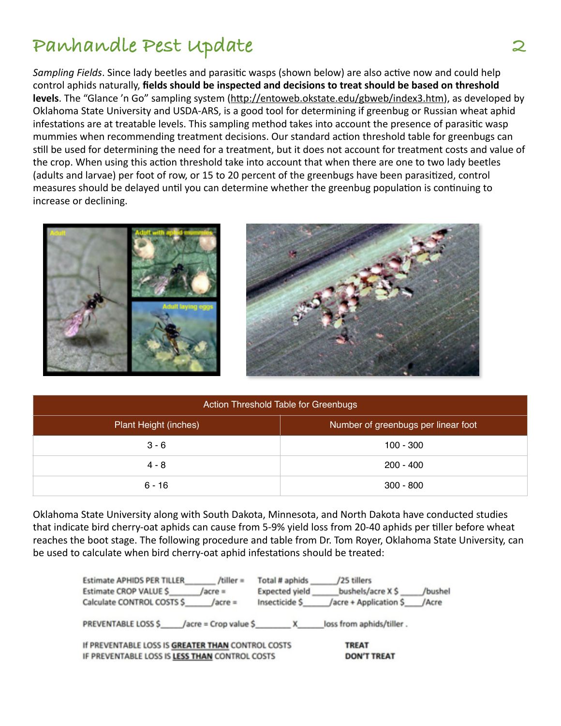*Sampling Fields*. Since lady beetles and parasitic wasps (shown below) are also active now and could help control aphids naturally, **fields should be inspected and decisions to treat should be based on threshold levels**. The "Glance 'n Go" sampling system (http://entoweb.okstate.edu/gbweb/index3.htm), as developed by Oklahoma State University and USDA-ARS, is a good tool for determining if greenbug or Russian wheat aphid infestations are at treatable levels. This sampling method takes into account the presence of parasitic wasp mummies when recommending treatment decisions. Our standard action threshold table for greenbugs can still be used for determining the need for a treatment, but it does not account for treatment costs and value of the crop. When using this action threshold take into account that when there are one to two lady beetles (adults and larvae) per foot of row, or 15 to 20 percent of the greenbugs have been parasitized, control measures should be delayed until you can determine whether the greenbug population is continuing to increase or declining.





| Action Threshold Table for Greenbugs |                                     |  |  |
|--------------------------------------|-------------------------------------|--|--|
| Plant Height (inches)                | Number of greenbugs per linear foot |  |  |
| $3 - 6$                              | $100 - 300$                         |  |  |
| $4 - 8$                              | $200 - 400$                         |  |  |
| $6 - 16$                             | $300 - 800$                         |  |  |

Oklahoma State University along with South Dakota, Minnesota, and North Dakota have conducted studies that indicate bird cherry-oat aphids can cause from 5-9% yield loss from 20-40 aphids per tiller before wheat reaches the boot stage. The following procedure and table from Dr. Tom Royer, Oklahoma State University, can be used to calculate when bird cherry-oat aphid infestations should be treated:

| $/t$ iller =<br><b>Estimate APHIDS PER TILLER</b><br>Estimate CROP VALUE \$<br>/acre =<br>Calculate CONTROL COSTS \$<br>$/$ acre = | Total # aphids<br>Expected yield<br>Insecticide \$ | /25 tillers<br>bushels/acre X \$<br>/acre + Application \$ | /bushel<br>/Acre |
|------------------------------------------------------------------------------------------------------------------------------------|----------------------------------------------------|------------------------------------------------------------|------------------|
| PREVENTABLE LOSS \$<br>/acre = Crop value \$                                                                                       | x                                                  | loss from aphids/tiller.                                   |                  |
| If PREVENTABLE LOSS IS GREATER THAN CONTROL COSTS<br>IF PREVENTABLE LOSS IS LESS THAN CONTROL COSTS                                | <b>TREAT</b><br><b>DON'T TREAT</b>                 |                                                            |                  |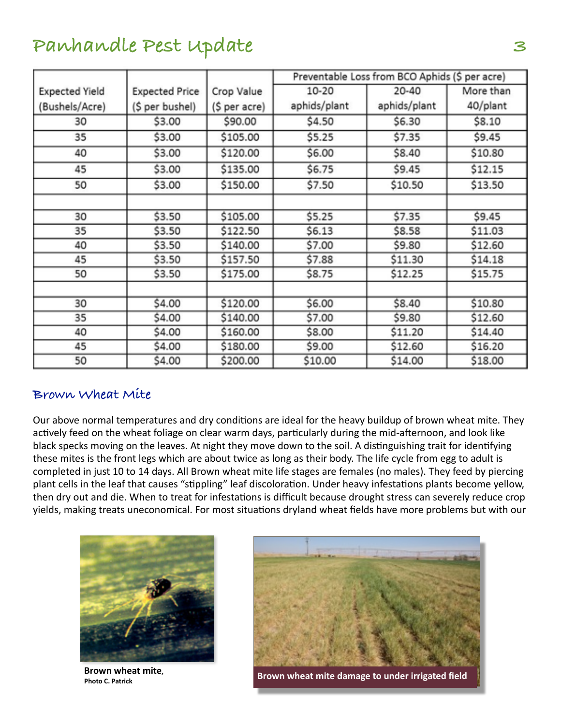|                       |                       |               | Preventable Loss from BCO Aphids (\$ per acre) |              |           |
|-----------------------|-----------------------|---------------|------------------------------------------------|--------------|-----------|
| <b>Expected Yield</b> | <b>Expected Price</b> | Crop Value    | 10-20                                          | 20-40        | More than |
| (Bushels/Acre)        | (\$ per bushel)       | (\$ per acre) | aphids/plant                                   | aphids/plant | 40/plant  |
| 30                    | \$3.00                | \$90.00       | \$4.50                                         | \$6.30       | \$8.10    |
| 35                    | \$3.00                | \$105.00      | \$5.25                                         | \$7.35       | \$9.45    |
| 40                    | \$3.00                | \$120.00      | \$6.00                                         | \$8.40       | \$10.80   |
| 45                    | \$3.00                | \$135.00      | \$6.75                                         | \$9.45       | \$12.15   |
| 50                    | \$3.00                | \$150.00      | \$7.50                                         | \$10.50      | \$13.50   |
|                       |                       |               |                                                |              |           |
| 30                    | \$3.50                | \$105.00      | \$5.25                                         | \$7.35       | \$9.45    |
| 35                    | \$3.50                | \$122.50      | \$6.13                                         | \$8.58       | \$11.03   |
| 40                    | \$3.50                | \$140.00      | \$7.00                                         | \$9.80       | \$12.60   |
| 45                    | \$3.50                | \$157.50      | \$7.88                                         | \$11.30      | \$14.18   |
| 50                    | \$3.50                | \$175.00      | \$8.75                                         | \$12.25      | \$15.75   |
|                       |                       |               |                                                |              |           |
| 30                    | \$4.00                | \$120.00      | \$6.00                                         | \$8.40       | \$10.80   |
| 35                    | \$4.00                | \$140.00      | \$7.00                                         | \$9.80       | \$12.60   |
| 40                    | \$4.00                | \$160.00      | \$8.00                                         | \$11.20      | \$14.40   |
| 45                    | \$4.00                | \$180.00      | \$9.00                                         | \$12.60      | \$16.20   |
| 50                    | \$4.00                | \$200.00      | \$10.00                                        | \$14.00      | \$18.00   |

#### **Brown Wheat Mite**

Our above normal temperatures and dry conditions are ideal for the heavy buildup of brown wheat mite. They actively feed on the wheat foliage on clear warm days, particularly during the mid-afternoon, and look like black specks moving on the leaves. At night they move down to the soil. A distinguishing trait for identifying these mites is the front legs which are about twice as long as their body. The life cycle from egg to adult is completed in just 10 to 14 days. All Brown wheat mite life stages are females (no males). They feed by piercing plant cells in the leaf that causes "stippling" leaf discoloration. Under heavy infestations plants become yellow, then dry out and die. When to treat for infestations is difficult because drought stress can severely reduce crop yields, making treats uneconomical. For most situations dryland wheat fields have more problems but with our



**Brown wheat mite.** 



**PHOTO C.** Patrick<br>Photo C. Patrick